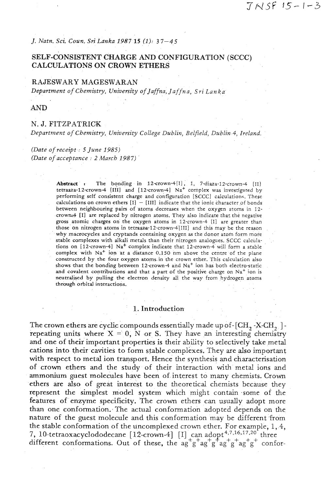*J. Natn. Sci. Coun. Sri Lanka 1987 15 (1):* 3 7-4 **<sup>5</sup>**

# **SELF-CONSISTENT CHARGE AND CONFIGURATION (SCCC) CALCULATIONS ON CROWN ETHERS**

#### **RAJESWARY MAGESWARAN**

*Department of Chemistry, University of Jaffna, Jaffn a, Sri Lan ka* 

**AND** 

#### **N. J. FITZPATRICK**

*Department of Chemistry, University College Dublin, Belfield, Dublin 4, Ireland.* 

*(Date of receipt* : *5 June 1985) (Date of acceptance* : 2 *March 1987)* 

> Abstract **r** The bonding in 12-crown-4[1], 1, 7-diaza-12-crown-4 [II] tetraaza-12-crown-4 **[IIII** and [12-crown41 Na+ complex was investigated by performing self consistent charge and configuration **[SCCCI** calculation^. These calculations on crown ethers  $[I] - [III]$  indicate that the ionic character of bonds between neighbouring pairs of atoms decreases when the oxygen atoms in 12 crown:4 [I] are replaced by nitrogen atoms. They also indicate that the negative gross atomic charges on the oxygen atoms in 12-crown-4 **[I]** are greater than those on nitrogen atoms in tetraaza-12-crown-4 $[III]$  and this may be the reason why macrocycles and cryptands containing oxygen as the donor atom form more stable complexes with alkali metals than their nitrogen analogues. **SCCC** calculations on [12-crown-4]  $Na<sup>+</sup>$  complex indicate that 12-crown-4 will form a stable complex with  $Na<sup>+</sup>$  ion at a distance 0.150 nm above the centre of the plane constructed by the four oxygen atoms in the crown ether. This calculation also shows that the bonding between 12-crown-4 and  $Na<sup>+</sup>$  ion has both electro-static and covalent contributions and that a part of the positive charge on  $Na<sup>+</sup>$  ion is neutralised by pulling the electron density all the way from hydrogen atoms through orbital interactions.

#### 1. Introduction

The crown ethers are cyclic compounds essentially made up of  $\texttt{[CH}_2$  -X-CH<sub>2</sub> ] repeating units where  $X = 0$ , N or S. They have an interesting chemistry and one of their important properties is their ability to selectively take metal cations into their cavities to form stable complexes. They are also important with respect to metal ion transport, Hence the synthesis and characterisation of crown ethers and the study of their interaction with metal ions and ammonium guest molecules have been of interest to many chemists. Crown ethers are also of great interest to the theoretical chemists because they represent the simplest model system which might contain some of the features of enzyme specificity. The crown ethers can usually adopt more than one conformation. The actual conformation adopted depends on the nature of the guest molecule and this conformation may be different from the stable conformation of the uncomplexed crown ether. For example, 1, 4, 7, 10-tetraoxacyclododecane  $[12$ -crown-4]  $[I]$  can adopt<sup>4,7,16,17,20</sup> three different conformations. Out of these, the  $ag+g+ag+gf+ag+gf+g+conf$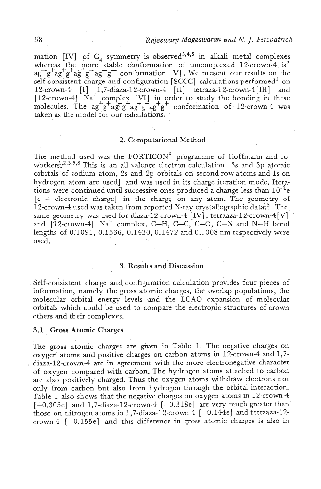## *Rajes wary Mageswaran and* M. *J. Fitzpatric k*

mation [IV] of  $C_4$  symmetry is observed<sup>3,4,5</sup> in alkali metal complexes whereas the more stable conformation of uncomplexed 12-crown-4 is<sup>7</sup>  $ag^-g^+ag^+g^+ag^-g^-g^-$  conformation [V]. We present our results on the self-consistent charge and configuration [SCCC] calculations performed<sup>1</sup> on  $12$ -crown-4  $\left[ \text{I} \right]$   $\left[ .1,7\text{-} \text{diaza-12-crown-4}$   $\left[ \text{II} \right]$  tetraza-12-crown-4 $\left[ \text{III} \right]$  and [12-crown-4] Na<sup>+</sup> complex [VI] in order to study the bonding in these molecules. The ag<sup>+</sup>g<sup>+</sup>ag<sup>+</sup>g<sup>+</sup>ag<sup>+</sup>g<sup>+</sup>ag<sup>+</sup>g<sup>+</sup>ag<sup>+</sup>g<sup>+</sup> conformation of 12-crown-4 was taken as the model for our calculations.

## 2. Computational Method

The method used was the FORTICON<sup>8</sup> programme of Hoffmann and coworkers<sup>1,2,3,5,8</sup> This is an all valence electron calculation [3s and 3p atomic orbitals of sodium atom, 2s and 2p orbitals on second row atoms and 1s on hydrogen atom are used] and was used in its charge iteration mode. Iterations were continued until successive ones produced a change less than  $10^{-4}$  e  $[e =$  electronic charge] in the charge on any atom. The geometry of 12-crown-4 used was taken from reported X-ray crystallographic data<sup>16</sup> The same geometry was used for diaza-12-crown-4 [IV], tetraaza-12-crown-4 [V] and  $[12\text{-}crown-4]$  Na<sup>+</sup> complex. C-H, C-C, C-O, C-N and N-H bond lengths of 0.1091, 0.1536, 0.1430, 0.1472 and 0.1008.nm respectively were used.

#### **3.** Results and Discussion

Self-consistent charge and configuration calculation provides four pieces of information, namely the gross atomic charges, the overlap populations, the molecular orbital energy levels and the LCAO expansion of molecular orbitals which could be used to compare the electronic structures of crown ethers and their complexes.

#### 3.1 'Gross Atomic Charges

The gross atomic charges are given in Table 1. The negative charges on oxygen atoms and positive charges on carbon atoms in 12-crown-4 and 1,7 diaza-12crown-4 are in agreement with the more electronegative character of oxygen compared with carbon. The hydrogen atoms attached to carbon are also positively charged. Thus the oxygen atoms withdraw electrons not only from carbon but also from hydrogen through the orbital interaction. Table 1 also shows that the negative charges on oxygen atoms in 12-crown-4  $[-0.305e]$  and 1,7-diaza-12-crown-4  $[-0.318e]$  are very much greater than those on nitrogen atoms in 1,7-diaza-12-crown-4  $[-0.144e]$  and tetraaza-12crown-4  $[-0.155e]$  and this difference in gross atomic charges is also in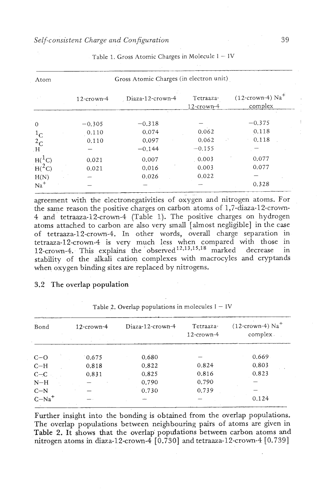| Atom         | Gross Atomic Charges (in electron unit) |               |                  |                            |                                  |  |  |
|--------------|-----------------------------------------|---------------|------------------|----------------------------|----------------------------------|--|--|
|              |                                         | $12$ -crown-4 | Diaza-12-crown-4 | Tetraaza-<br>$12$ -crown-4 | $(12$ -crown-4) $Na+$<br>complex |  |  |
| $\theta$     |                                         | $-0.305$      | $-0.318$         |                            | $-0.375$                         |  |  |
| $1_{\rm C}$  |                                         | 0.110         | 0.074            | 0.062                      | 0.118                            |  |  |
| $^{2}$ C     |                                         | 0.110         | 0.097            | 0.062                      | 0.118                            |  |  |
| . H          |                                         |               | $-0.144$         | $-0.155$                   |                                  |  |  |
| $H({}^{1}C)$ |                                         | 0.021         | 0.007            | 0.003                      | 0.077                            |  |  |
| $H(^2C)$     |                                         | 0.021         | 0.016            | 0.003                      | 0.077                            |  |  |
| H(N)         |                                         |               | 0.026            | 0.022                      |                                  |  |  |
| $Na+$        |                                         |               |                  |                            | 0.328                            |  |  |

Table 1. Gross Atomic Charges in Molecule  $I - IV$ 

agreement with the electronegativities of oxygen and nitrogen atoms. For the same reason the positive charges on carbon atoms of 1,7-diaza-12-crown-4 and tetraaza-12-crown-4 (Table 1). The positive charges on hydrogen atoms attached to carbon are also very small [almost negligible] in the case of tetraaza-12-crown-4. In other words, overall charge separation in tetraaza-12-crown-4 is very much less when compared with those in 12-crown-4. This explains the observed  $^{12,13,15,18}$  marked decrease in stability of the alkali cation complexes with macrocyles and cryptands when oxygen binding sites are replaced by nitrogens.

## 3.2 The overlap population

| Bond     | $12$ -crown-4 | Diaza-12-crown-4 | Tetraaza-<br>$12$ -crown-4 | $(12$ -crown-4) Na <sup>+</sup><br>complex. |
|----------|---------------|------------------|----------------------------|---------------------------------------------|
| $C - O$  | 0.675         | 0.680            |                            | 0.669                                       |
| $C-H$    | 0.818         | 0.822            | 0.824                      | 0.803                                       |
| $C - C$  | 0.831         | 0.825            | 0.816                      | 0.823                                       |
| $N-H$    |               | 0.790            | 0.790                      |                                             |
| $C-N$    |               | 0.730            | 0.739                      |                                             |
| $C-Na^+$ |               |                  |                            | 0.124                                       |

Further insight into the bonding is obtained from the overlap populations. The overlap populations between neighbouring pairs of atoms are given in Table **2.** It shows that the overlap' populations between carbon atoms **and**  nitrogen atoms in diaza-12-crown-4  $\lceil 0.730 \rceil$  and tetraaza-12-crown-4  $\lceil 0.739 \rceil$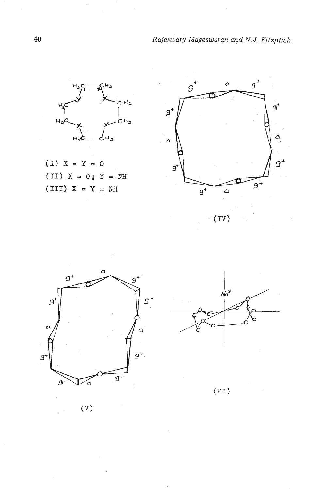$H_2$  $\mathbf H$  $C H_2$  $H_2C$ c۳۵

 $(I) X = Y = 0$  $(III) X = 0; Y = MH$  $(III)$   $X = Y = MH$ 







 $(VI)$ 

 $(\mathbf{V})$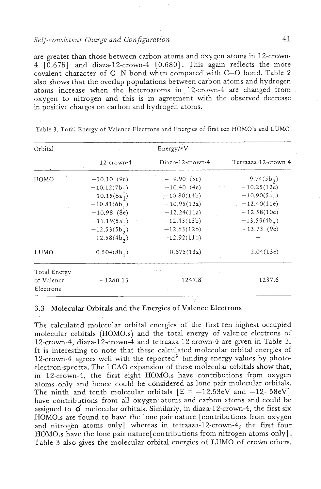## *Self-consistent Charge and Configuration*

are greater than those between carbon atoms and oxygen atoms in 12-crown-4 [0.675] and diaza-12-crown-4 [0.680]. This again reflects the more covalent character of  $C-N$  bond when compared with  $C-O$  bond. Table 2 also shows that the overlap populations between carbon atoms and hydrogen atoms increase when the heteroatoms in 12-crown-4 are changed from oxygen to nitrogen and this is in agreement with the observed decrease in positive charges on carbon and hydrogen atoms.

| Orbital      |                |                  |                     |
|--------------|----------------|------------------|---------------------|
|              | 12-crown-4     | Diazo-12-crown-4 | Tetraaza-12-crown-4 |
| HOMO         | $-10.10(9e)$   | $-9.90(5e)$      | $-9.74(5b_2)$       |
|              | $-10.12(7b_1)$ | $-10.40(4e)$     | $-10.25(12e)$       |
|              | $-10.15(6a_1)$ | $-10,80(14b)$    | $-10.90(5a, 1)$     |
|              | $-10.81(6b_1)$ | $-10.95(12a)$    | $-12.40(11e)$       |
|              | $-10.98$ (8e)  | $-12.24(11a)$    | $-12,58(10e)$       |
|              | $-11.19(5a_1)$ | $-12.43(13b)$    | $-13.59(4b2)$       |
|              | $-12.53(5b,)$  | $-12.63(12b)$    | $-13.73(9e)$        |
|              | $-12.58(4b,)$  | $-12.92(11b)$    |                     |
| LUMO         | $-0.504(8b_1)$ | 0.675(13a)       | 2.04(13e)           |
| Total Energy |                |                  |                     |
| of Valence   | $-1260.13$     | $-1247.8$        | $-1237.6$           |
| Electrons    |                |                  |                     |

Table 3. Total Energy of Valence Electrons and Energies of first ten HOMO'S and LUMO

## 3.3 Molecular Orbitals and the Energies of Valence Electrons

The calculated molecular orbital energies of the first ten highest occupied molecular orbitals (H0MO.s) and the total energy of valence electrons of 12-crown-4, diaza-12'-crown-4 and tetraaza-12-crown-4 are given in Table **3.**  It is interesting to note that these calculated molecular orbital energies of 12-crown-4 agrees well with the reported<sup>9</sup> binding energy values by photoelectron spectra. The LCAO expansion of these molecular orbitals show that, in 12-crown-4, the first eight HOMO.s have contributions from oxygen atoms only and hence could be considered as lone pair molecular orbitals. The ninth and tenth molecular orbitals  $[E = -12.53eV$  and  $-12-58eV]$ have contributions from all oxygen atoms and carbon atoms and could be assigned to  $\phi$  molecular orbitals. Similarly, in diaza-12-crown-4, the first six H0MO.s are found to have the lone pair nature [contributions from oxygen and nitrogen atoms only] whereas in tetraaza-12-crown-4, the first four HOMO.s have the lone pair nature [contributions from nitrogen atoms only]. Table **3** also gives the molecular orbital energies of LUMO of crom ethers.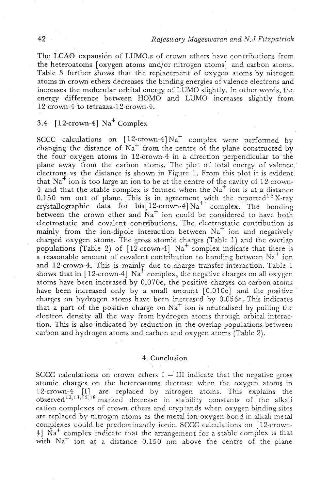The LCAO expansion of LUM0.s of crown ethers have contributions from the heteroatoms [oxygen atoms and/or nitrogen atoms] and carbon atoms. Table **3** further shows that the replacement of oxygen atoms by nitrogen atoms in crown ethers decreases the binding energies of valence electrons and increases the molecular orbital energy of LUMO slightly. In other words, the energy difference between HOMO and LUMO increases slightly from 12-crown-4 to tetraaza-12-crown-4.

# 3.4  $[12$ -crown-4] Na<sup>+</sup> Complex

SCCC calculations on  $[12$ -crown-4] $Na<sup>+</sup>$  complex were performed by changing the distance of  $Na<sup>+</sup>$  from the centre of the plane constructed by the four oxygen atoms in 12-crown-4 in a direction perpendicular to the plane away from the carbon atoms. The plot of total energy of valence electrons vs the distance is shown in Figure 1. From this plot it is evident. that  $Na<sup>+</sup>$  ion is too large an ion to be at the centre of the cavity of 12-crown-4 and that the stable complex is formed when the  $Na<sup>+</sup>$  ion is at a distance 0.150 nm out of plane. This is in agreement with the reported<sup>16</sup>X-ray crystallographic data for  $bis[12-crown-4]{\mathrm{Na}^+}$  complex. The bonding between the crown ether and  $Na<sup>+</sup>$  ion could be considered to have both electrostatic and covalent contributions. The electrostatic contribution is mainly from the ion-dipole interaction between  $Na<sup>+</sup>$  ion and negatively charged oxygen atoms. The gross atomic charges (Table 1) and the overlap populations (Table 2) of  $[12$ -crown-4]  $Na<sup>+</sup>$  complex indicate that there is a reasonable amount of covalent contribution to bonding between  $Na<sup>+</sup>$  ion and 12-crown-4. This is mainly due to charge transfer interaction. Table 1 shows that in [12-crown-4]  $Na<sup>+</sup>$  complex, the negative charges on all oxygen atoms have been increased by 0.070e, the positive charges on carbon atoms have been increased only by a small amount [0.010e] and the positive charges on hydrogen atoms have been increased by 0.056e. This indicates that a part of the positive charge on  $Na<sup>+</sup>$  ion is neutralised by pulling the electron density **all** the way from hydrogen atoms through orbital interaction. This is also indicated by reduction in the overlap populations between carbon and hydrogen atoms and carbon and oxygen atoms (Table 2).

#### 4. Conclusion

SCCC calculations on crown ethers  $I - III$  indicate that the negative gross atomic charges on the heteroatoms decrease when the oxygen atoms in 12-crown-4 [I] are replaced by nitrogen atoms. This explains the observed<sup>12,13,15,18</sup> marked decrease in stability constants of the alkali cation complexes of crown ethers and cryptands when oxygen bindng sites are replaced by nitrogen atoms as the metal ion-oxygen bond in alkali metal complexes could be predominantly ionic. SCCC calculations on [12-crown- $4$ ] Na<sup>+</sup> complex indicate that the arrangement for a stable complex is that with  $Na<sup>+</sup>$  ion at a distance 0.150 nm above the centre of the plane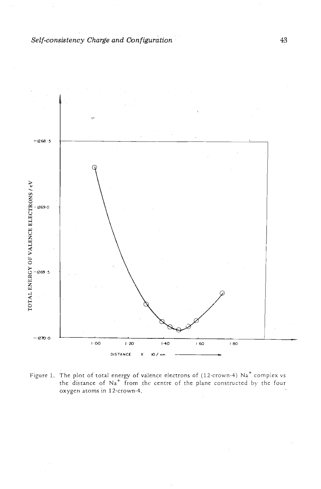

Figure 1. The plot of total energy of valence electrons of (12-crown-4) Na<sup>+</sup> complex vs the distance of Na<sup>+</sup> from the centre of the plane constructed by the four oxygen atoms in 12-crown-4.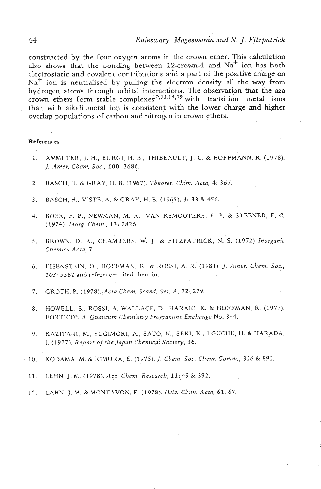constructed by the four oxygen atoms in the crown ether. This calculation also shows that the bonding between 12-crown-4 and Na<sup>+</sup> ion has both electrostatic and covalent contributions an'd a part of the positive charge on Na<sup>+</sup> ion is neutralised by pulling the electron density all the way from hydrogen atoms through orbital interactions. The observation that the **aza**  crown ethers form stable complexes<sup>10,11,14,19</sup> with transition metal ions than with alkali metal ion is consistent with the lower charge and higher overlap populations of carbon and nitrogen in crown ethers.

#### **References**

- **1.** AMMETER, J. H., BURGI, H. B., THIBEAULT, J. C. & HOFFMANN, R. *(1978). J. Amer. Chem. Soc., 100: 3686.*
- **2.** RASCH, H. &GRAY, H. B. *(1967). Theoret. Chim. Acta, 4: 367.*
- *3.* BASCH, H., VISTE, A. & GRAY, H. B. *(1965).* 3: *33* & 456.
- 4. BOER, F. P., NEWMAN, M. A., VAN REMOOTERE, F. P. & STEENER, E. C. *(1974). Inorg. Chem., 13: 2826.*
- *5.* BROWN, D. A., CHAMBERS, **w.** J. & FITZPATRICK, N. S. *(1972) Inovganic Chernica Acta, 7.*
- *6.* EISENSTEIN, O., IIOFFMAN, **R.** B RO~SI, A. R. *(1981).* J. *Amer. Chem. Soc., 103, 5582* and references cited there in.
- 7. GROTH, P. *(1978).\$cta Chem..Scand. Ser.* A, 32; *279.*
- *8,* HOWELL, S., ROSST, A. WALLACE, D., HARAKI, K. & HOFFMAN, **R.** *(1977).*  FORTICON *8: Quantum Chemistry Programme Exchange No.* 344.
- *9.* KAZITANI, M., SUGIMORI, A., SATO, N., SEKI, **K.,** LGUCHU, H. & HARADA, I. *(1977). Report of the Jupan Chemical Society, 36.*
- *10.* KODAIMA, M. & KIMURA, E. *(1975).* J. *Chevn. SOC. Chem. Comm., 326* & *891.* 
	- *11.* LEHN, J. M. *(1978). Acc. Chem. Research,* **11;** *49* **Lk** 392.
	- **12.** LAHN, J. M. & IMONTAVON, F. *(1978). Heiv. Chin?.* Acta, **61;** *67.*